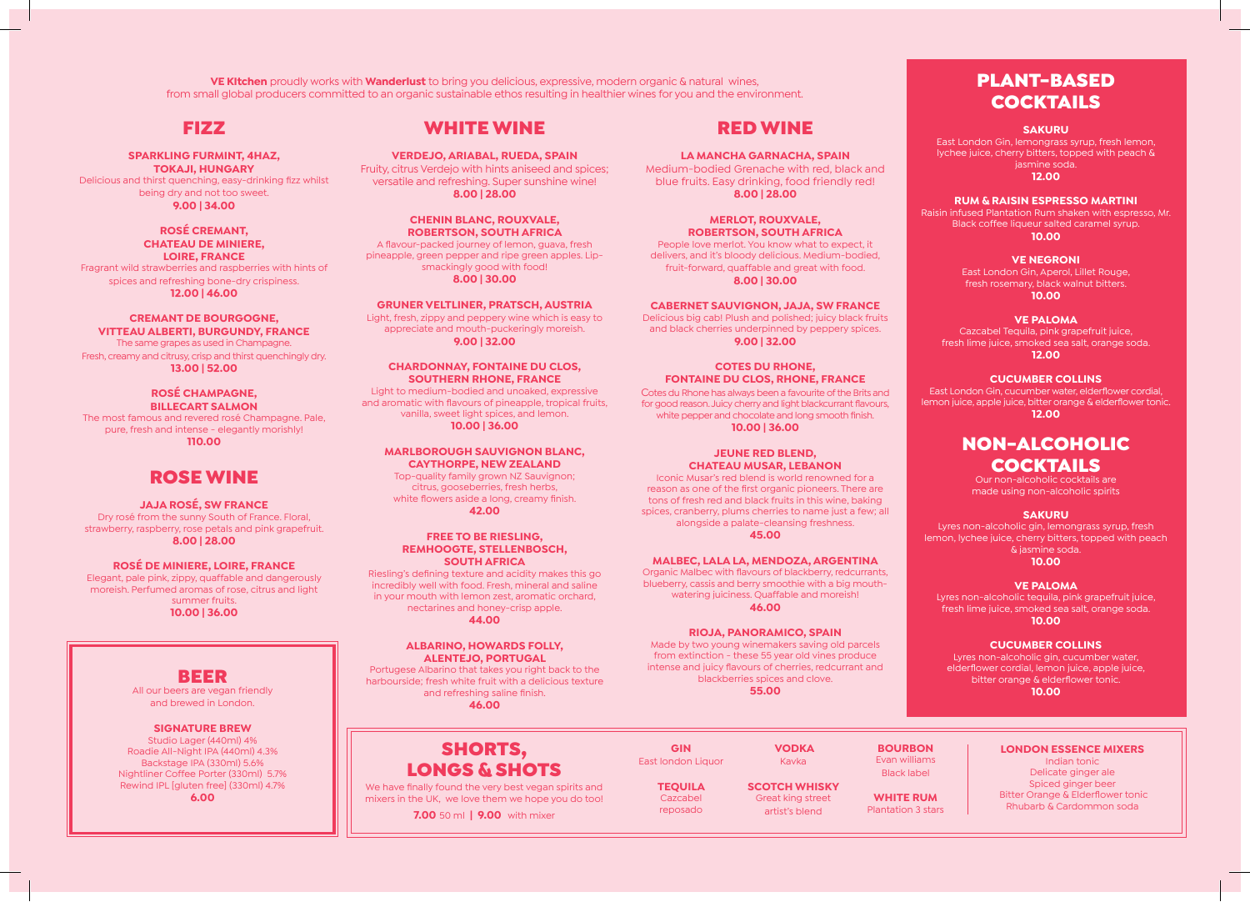**VE KItchen** proudly works with **Wanderlust** to bring you delicious, expressive, modern organic & natural wines, from small global producers committed to an organic sustainable ethos resulting in healthier wines for you and the environment.

### FIZZ

**SPARKLING FURMINT, 4HAZ, TOKAJI, HUNGARY** Delicious and thirst quenching, easy-drinking fizz whilst being dry and not too sweet.

**9.00 | 34.00**

#### **ROSÉ CREMANT, CHATEAU DE MINIERE, LOIRE, FRANCE** Fragrant wild strawberries and raspberries with hints of spices and refreshing bone-dry crispiness.

**12.00 | 46.00**

### **CREMANT DE BOURGOGNE,**

**VITTEAU ALBERTI, BURGUNDY, FRANCE** The same grapes as used in Champagne. Fresh, creamy and citrusy, crisp and thirst quenchingly dry. **13.00 | 52.00**

#### **ROSÉ CHAMPAGNE, BILLECART SALMON**

The most famous and revered rosé Champagne. Pale, pure, fresh and intense - elegantly morishly! **110.00**

### ROSE WINE

#### **JAJA ROSÉ, SW FRANCE**

Dry rosé from the sunny South of France. Floral, strawberry, raspberry, rose petals and pink grapefruit. **8.00 | 28.00**

#### **ROSÉ DE MINIERE, LOIRE, FRANCE** Elegant, pale pink, zippy, quaffable and dangerously moreish. Perfumed aromas of rose, citrus and light summer fruits.

**10.00 | 36.00**

### BEER

All our beers are vegan friendly and brewed in London.

#### **SIGNATURE BREW**

Studio Lager (440ml) 4% Roadie All-Night IPA (440ml) 4.3% Backstage IPA (330ml) 5.6% Nightliner Coffee Porter (330ml) 5.7% Rewind IPL [gluten free] (330ml) 4.7% **6.00**

### WHITE WINE

**VERDEJO, ARIABAL, RUEDA, SPAIN** Fruity, citrus Verdejo with hints aniseed and spices; versatile and refreshing. Super sunshine wine! **8.00 | 28.00**

**CHENIN BLANC, ROUXVALE, ROBERTSON, SOUTH AFRICA** A flavour-packed journey of lemon, guava, fresh pineapple, green pepper and ripe green apples. Lipsmackingly good with food! **8.00 | 30.00**

#### **GRUNER VELTLINER, PRATSCH, AUSTRIA**

Light, fresh, zippy and peppery wine which is easy to appreciate and mouth-puckeringly moreish. **9.00 | 32.00** 

#### **CHARDONNAY, FONTAINE DU CLOS, SOUTHERN RHONE, FRANCE** Light to medium-bodied and unoaked, expressive and aromatic with flavours of pineapple, tropical fruits, vanilla, sweet light spices, and lemon. **10.00 | 36.00**

**MARLBOROUGH SAUVIGNON BLANC, CAYTHORPE, NEW ZEALAND** Top-quality family grown NZ Sauvignon; citrus, gooseberries, fresh herbs, white flowers aside a long, creamy finish. **42.00**

#### **FREE TO BE RIESLING, REMHOOGTE, STELLENBOSCH, SOUTH AFRICA**

Riesling's defining texture and acidity makes this go incredibly well with food. Fresh, mineral and saline in your mouth with lemon zest, aromatic orchard, nectarines and honey-crisp apple. **44.00**

#### **ALBARINO, HOWARDS FOLLY, ALENTEJO, PORTUGAL**

Portugese Albarino that takes you right back to the harbourside; fresh white fruit with a delicious texture and refreshing saline finish. **46.00**

### RED WINE

**LA MANCHA GARNACHA, SPAIN** Medium-bodied Grenache with red, black and blue fruits. Easy drinking, food friendly red! **8.00 | 28.00**

**MERLOT, ROUXVALE, ROBERTSON, SOUTH AFRICA** People love merlot. You know what to expect, it delivers, and it's bloody delicious. Medium-bodied, fruit-forward, quaffable and great with food. **8.00 | 30.00**

### **CABERNET SAUVIGNON, JAJA, SW FRANCE**

Delicious big cab! Plush and polished; juicy black fruits and black cherries underpinned by peppery spices. **9.00 | 32.00**

#### **COTES DU RHONE, FONTAINE DU CLOS, RHONE, FRANCE**

Cotes du Rhone has always been a favourite of the Brits and for good reason. Juicy cherry and light blackcurrant flavours, white pepper and chocolate and long smooth finish. **10.00 | 36.00**

#### **JEUNE RED BLEND, CHATEAU MUSAR, LEBANON**

Iconic Musar's red blend is world renowned for a reason as one of the first organic pioneers. There are tons of fresh red and black fruits in this wine, baking spices, cranberry, plums cherries to name just a few; all alongside a palate-cleansing freshness. **45.00**

#### **MALBEC, LALA LA, MENDOZA, ARGENTINA**

Organic Malbec with flavours of blackberry, redcurrants, blueberry, cassis and berry smoothie with a big mouthwatering juiciness. Quaffable and moreish! **46.00**

#### **RIOJA, PANORAMICO, SPAIN**

Made by two young winemakers saving old parcels from extinction - these 55 year old vines produce intense and juicy flavours of cherries, redcurrant and blackberries spices and clove. **55.00**

### PLANT-BASED **COCKTAILS**

#### **SAKURU**

East London Gin, lemongrass syrup, fresh lemon, lychee juice, cherry bitters, topped with peach & jasmine soda. **12.00**

#### **RUM & RAISIN ESPRESSO MARTINI**

Raisin infused Plantation Rum shaken with espresso, Mr. **10.00**

### **VE NEGRONI**

East London Gin, Aperol, Lillet Rouge, fresh rosemary, black walnut bitters. **10.00**

#### **VE PALOMA**

Cazcabel Tequila, pink grapefruit juice, fresh lime juice, smoked sea salt, orange soda. **12.00**

#### **CUCUMBER COLLINS**

lemon juice, apple juice, bitter orange & elderflower tonic. **12.00**

### NON-ALCOHOLIC COCKTAILS

Our non-alcoholic cocktails are made using non-alcoholic spirits

#### **SAKURU**

Lyres non-alcoholic gin, lemongrass syrup, fresh lemon, lychee juice, cherry bitters, topped with peach & jasmine soda.

#### **10.00**

#### **VE PALOMA**

Lyres non-alcoholic tequila, pink grapefruit juice, fresh lime juice, smoked sea salt, orange soda. **10.00**

#### **CUCUMBER COLLINS**

Lyres non-alcoholic gin, cucumber water, elderflower cordial, lemon juice, apple juice, bitter orange & elderflower tonic. **10.00**

### SHORTS, LONGS & SHOTS

We have finally found the very best vegan spirits and mixers in the UK, we love them we hope you do too!

**7.00** 50 ml **| 9.00** with mixer

| GIN             | <b>VODKA</b>      |
|-----------------|-------------------|
| t london Liquor | Kavka             |
| <b>TEOUILA</b>  | <b>SCOTCH WHI</b> |
| Cazcahol        | Great king str    |

East lon

Ca reposado

**KISKY** teet<sup>-</sup> artist's blend

**BOURBON**  Evan williams Black label **WHITE RUM** Plantation 3 stars

### **LONDON ESSENCE MIXERS**

Indian tonic Delicate ginger ale Spiced ginger beer Bitter Orange & Elderflower tonic Rhubarb & Cardommon soda